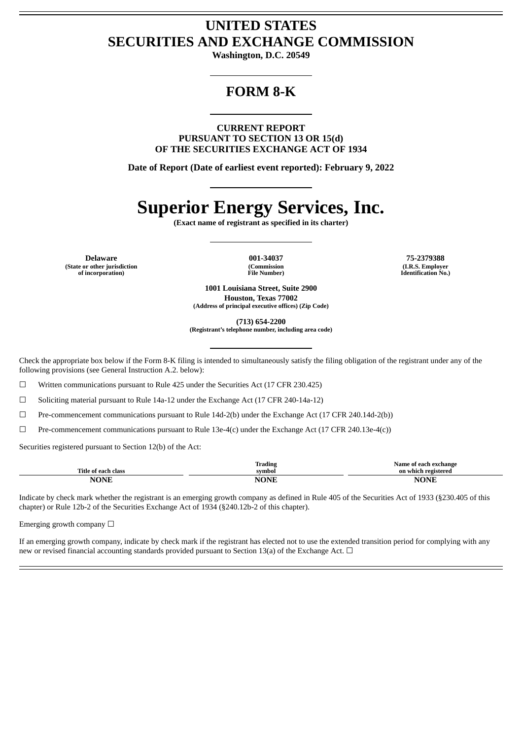## **UNITED STATES SECURITIES AND EXCHANGE COMMISSION**

**Washington, D.C. 20549**

# **FORM 8-K**

**CURRENT REPORT PURSUANT TO SECTION 13 OR 15(d) OF THE SECURITIES EXCHANGE ACT OF 1934**

**Date of Report (Date of earliest event reported): February 9, 2022**

# **Superior Energy Services, Inc.**

**(Exact name of registrant as specified in its charter)**

**Delaware 001-34037 75-2379388 (State or other jurisdiction of incorporation)**

**(Commission File Number)**

**(I.R.S. Employer Identification No.)**

**1001 Louisiana Street, Suite 2900 Houston, Texas 77002 (Address of principal executive offices) (Zip Code)**

**(713) 654-2200**

**(Registrant's telephone number, including area code)**

Check the appropriate box below if the Form 8-K filing is intended to simultaneously satisfy the filing obligation of the registrant under any of the following provisions (see General Instruction A.2. below):

☐ Written communications pursuant to Rule 425 under the Securities Act (17 CFR 230.425)

☐ Soliciting material pursuant to Rule 14a-12 under the Exchange Act (17 CFR 240-14a-12)

☐ Pre-commencement communications pursuant to Rule 14d-2(b) under the Exchange Act (17 CFR 240.14d-2(b))

☐ Pre-commencement communications pursuant to Rule 13e-4(c) under the Exchange Act (17 CFR 240.13e-4(c))

Securities registered pursuant to Section 12(b) of the Act:

|                         | Trading<br>$\sim$ $\sim$ $\sim$<br>. | Name<br>aange .<br>กา       |
|-------------------------|--------------------------------------|-----------------------------|
| mm*<br>`ïtle            | svmbol                               | 'ered                       |
| $\cdots$<br>.<br>______ | m.<br>- 11<br>______                 | $\overline{ }$<br>$ -$<br>w |

Indicate by check mark whether the registrant is an emerging growth company as defined in Rule 405 of the Securities Act of 1933 (§230.405 of this chapter) or Rule 12b-2 of the Securities Exchange Act of 1934 (§240.12b-2 of this chapter).

Emerging growth company  $\Box$ 

If an emerging growth company, indicate by check mark if the registrant has elected not to use the extended transition period for complying with any new or revised financial accounting standards provided pursuant to Section 13(a) of the Exchange Act.  $\Box$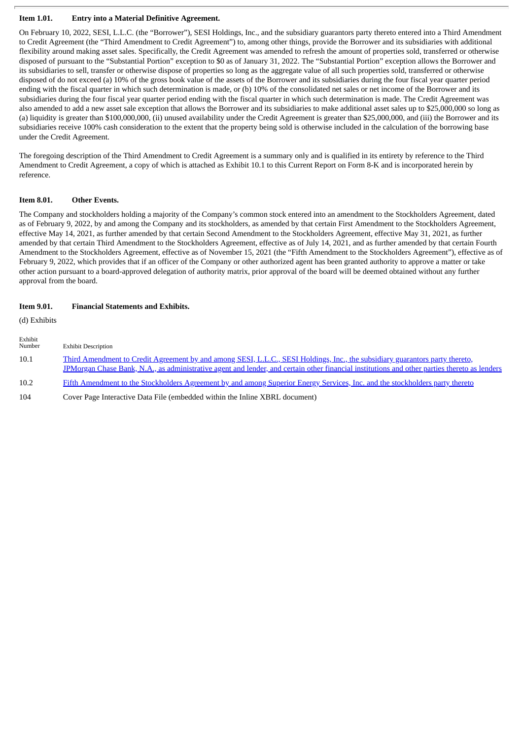### **Item 1.01. Entry into a Material Definitive Agreement.**

On February 10, 2022, SESI, L.L.C. (the "Borrower"), SESI Holdings, Inc., and the subsidiary guarantors party thereto entered into a Third Amendment to Credit Agreement (the "Third Amendment to Credit Agreement") to, among other things, provide the Borrower and its subsidiaries with additional flexibility around making asset sales. Specifically, the Credit Agreement was amended to refresh the amount of properties sold, transferred or otherwise disposed of pursuant to the "Substantial Portion" exception to \$0 as of January 31, 2022. The "Substantial Portion" exception allows the Borrower and its subsidiaries to sell, transfer or otherwise dispose of properties so long as the aggregate value of all such properties sold, transferred or otherwise disposed of do not exceed (a) 10% of the gross book value of the assets of the Borrower and its subsidiaries during the four fiscal year quarter period ending with the fiscal quarter in which such determination is made, or (b) 10% of the consolidated net sales or net income of the Borrower and its subsidiaries during the four fiscal year quarter period ending with the fiscal quarter in which such determination is made. The Credit Agreement was also amended to add a new asset sale exception that allows the Borrower and its subsidiaries to make additional asset sales up to \$25,000,000 so long as (a) liquidity is greater than \$100,000,000, (ii) unused availability under the Credit Agreement is greater than \$25,000,000, and (iii) the Borrower and its subsidiaries receive 100% cash consideration to the extent that the property being sold is otherwise included in the calculation of the borrowing base under the Credit Agreement.

The foregoing description of the Third Amendment to Credit Agreement is a summary only and is qualified in its entirety by reference to the Third Amendment to Credit Agreement, a copy of which is attached as Exhibit 10.1 to this Current Report on Form 8-K and is incorporated herein by reference.

### **Item 8.01. Other Events.**

The Company and stockholders holding a majority of the Company's common stock entered into an amendment to the Stockholders Agreement, dated as of February 9, 2022, by and among the Company and its stockholders, as amended by that certain First Amendment to the Stockholders Agreement, effective May 14, 2021, as further amended by that certain Second Amendment to the Stockholders Agreement, effective May 31, 2021, as further amended by that certain Third Amendment to the Stockholders Agreement, effective as of July 14, 2021, and as further amended by that certain Fourth Amendment to the Stockholders Agreement, effective as of November 15, 2021 (the "Fifth Amendment to the Stockholders Agreement"), effective as of February 9, 2022, which provides that if an officer of the Company or other authorized agent has been granted authority to approve a matter or take other action pursuant to a board-approved delegation of authority matrix, prior approval of the board will be deemed obtained without any further approval from the board.

### **Item 9.01. Financial Statements and Exhibits.**

(d) Exhibits

| Exhibit<br>Number | <b>Exhibit Description</b>                                                                                                                                                                                                                                                   |
|-------------------|------------------------------------------------------------------------------------------------------------------------------------------------------------------------------------------------------------------------------------------------------------------------------|
| 10.1              | Third Amendment to Credit Agreement by and among SESI, L.L.C., SESI Holdings, Inc., the subsidiary guarantors party thereto,<br>JPMorgan Chase Bank, N.A., as administrative agent and lender, and certain other financial institutions and other parties thereto as lenders |
| 10.2              | Fifth Amendment to the Stockholders Agreement by and among Superior Energy Services, Inc. and the stockholders party thereto                                                                                                                                                 |

104 Cover Page Interactive Data File (embedded within the Inline XBRL document)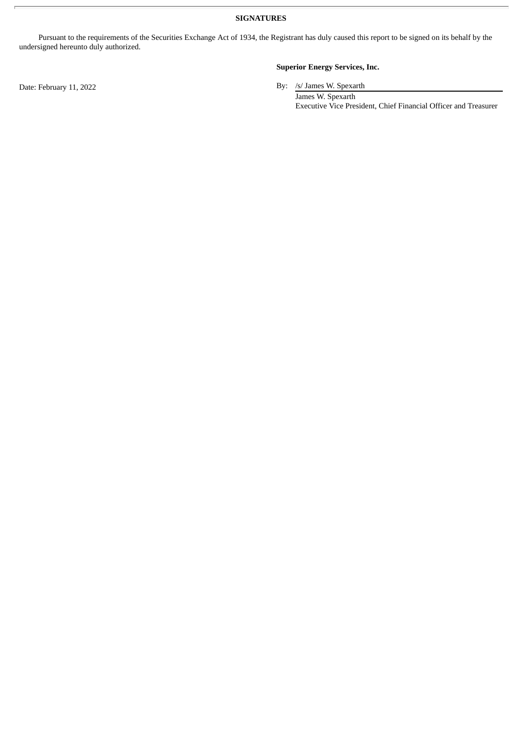**SIGNATURES**

Pursuant to the requirements of the Securities Exchange Act of 1934, the Registrant has duly caused this report to be signed on its behalf by the undersigned hereunto duly authorized.

### **Superior Energy Services, Inc.**

Date: February 11, 2022 By: /s/ James W. Spexarth

James W. Spexarth Executive Vice President, Chief Financial Officer and Treasurer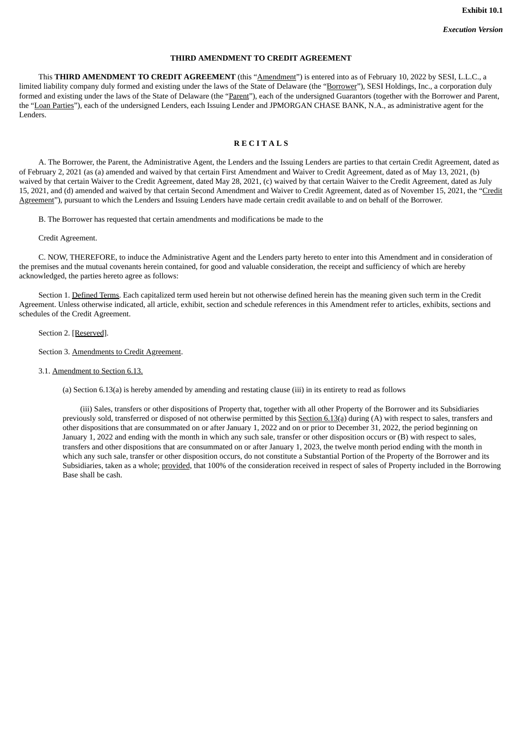### **THIRD AMENDMENT TO CREDIT AGREEMENT**

<span id="page-3-0"></span>This **THIRD AMENDMENT TO CREDIT AGREEMENT** (this "Amendment") is entered into as of February 10, 2022 by SESI, L.L.C., a limited liability company duly formed and existing under the laws of the State of Delaware (the "Borrower"), SESI Holdings, Inc., a corporation duly formed and existing under the laws of the State of Delaware (the "Parent"), each of the undersigned Guarantors (together with the Borrower and Parent, the "Loan Parties"), each of the undersigned Lenders, each Issuing Lender and JPMORGAN CHASE BANK, N.A., as administrative agent for the Lenders.

### **R E C I T A L S**

A. The Borrower, the Parent, the Administrative Agent, the Lenders and the Issuing Lenders are parties to that certain Credit Agreement, dated as of February 2, 2021 (as (a) amended and waived by that certain First Amendment and Waiver to Credit Agreement, dated as of May 13, 2021, (b) waived by that certain Waiver to the Credit Agreement, dated May 28, 2021, (c) waived by that certain Waiver to the Credit Agreement, dated as July 15, 2021, and (d) amended and waived by that certain Second Amendment and Waiver to Credit Agreement, dated as of November 15, 2021, the "Credit Agreement"), pursuant to which the Lenders and Issuing Lenders have made certain credit available to and on behalf of the Borrower.

B. The Borrower has requested that certain amendments and modifications be made to the

Credit Agreement.

C. NOW, THEREFORE, to induce the Administrative Agent and the Lenders party hereto to enter into this Amendment and in consideration of the premises and the mutual covenants herein contained, for good and valuable consideration, the receipt and sufficiency of which are hereby acknowledged, the parties hereto agree as follows:

Section 1. Defined Terms. Each capitalized term used herein but not otherwise defined herein has the meaning given such term in the Credit Agreement. Unless otherwise indicated, all article, exhibit, section and schedule references in this Amendment refer to articles, exhibits, sections and schedules of the Credit Agreement.

Section 2. [Reserved].

Section 3. Amendments to Credit Agreement.

3.1. Amendment to Section 6.13.

(a) Section 6.13(a) is hereby amended by amending and restating clause (iii) in its entirety to read as follows

(iii) Sales, transfers or other dispositions of Property that, together with all other Property of the Borrower and its Subsidiaries previously sold, transferred or disposed of not otherwise permitted by this Section 6.13(a) during (A) with respect to sales, transfers and other dispositions that are consummated on or after January 1, 2022 and on or prior to December 31, 2022, the period beginning on January 1, 2022 and ending with the month in which any such sale, transfer or other disposition occurs or (B) with respect to sales, transfers and other dispositions that are consummated on or after January 1, 2023, the twelve month period ending with the month in which any such sale, transfer or other disposition occurs, do not constitute a Substantial Portion of the Property of the Borrower and its Subsidiaries, taken as a whole; provided, that 100% of the consideration received in respect of sales of Property included in the Borrowing Base shall be cash.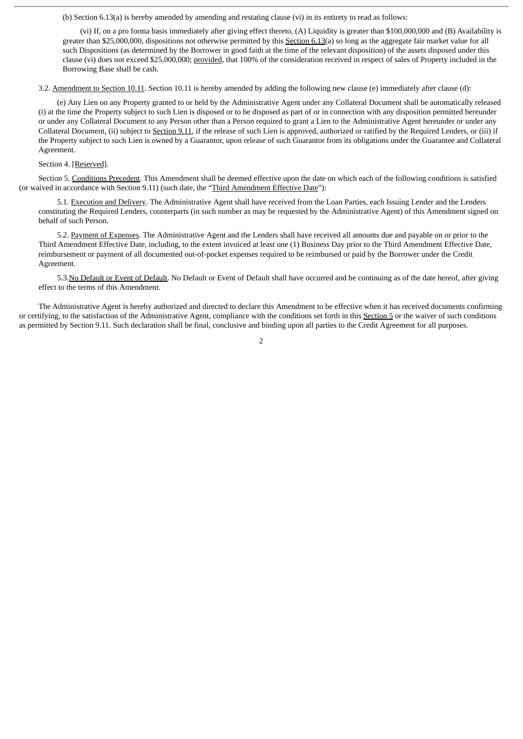(b) Section 6.13(a) is hereby amended by amending and restating clause (vi) in its entirety to read as follows:

(vi) If, on a pro forma basis immediately after giving effect thereto, (A) Liquidity is greater than \$100,000,000 and (B) Availability is greater than \$25,000,000, dispositions not otherwise permitted by this Section 6.13(a) so long as the aggregate fair market value for all such Dispositions (as determined by the Borrower in good faith at the time of the relevant disposition) of the assets disposed under this clause (vi) does not exceed \$25,000,000; provided, that 100% of the consideration received in respect of sales of Property included in the Borrowing Base shall be cash.

3.2. Amendment to Section 10.11. Section 10.11 is hereby amended by adding the following new clause (e) immediately after clause (d):

(e) Any Lien on any Property granted to or held by the Administrative Agent under any Collateral Document shall be automatically released (i) at the time the Property subject to such Lien is disposed or to be disposed as part of or in connection with any disposition permitted hereunder or under any Collateral Document to any Person other than a Person required to grant a Lien to the Administrative Agent hereunder or under any Collateral Document, (ii) subject to Section 9.11, if the release of such Lien is approved, authorized or ratified by the Required Lenders, or (iii) if the Property subject to such Lien is owned by a Guarantor, upon release of such Guarantor from its obligations under the Guarantee and Collateral Agreement.

Section 4. [Reserved].

Section 5. Conditions Precedent. This Amendment shall be deemed effective upon the date on which each of the following conditions is satisfied (or waived in accordance with Section 9.11) (such date, the "Third Amendment Effective Date"):

5.1. Execution and Delivery. The Administrative Agent shall have received from the Loan Parties, each Issuing Lender and the Lenders constituting the Required Lenders, counterparts (in such number as may be requested by the Administrative Agent) of this Amendment signed on behalf of such Person.

5.2. Payment of Expenses. The Administrative Agent and the Lenders shall have received all amounts due and payable on or prior to the Third Amendment Effective Date, including, to the extent invoiced at least one (1) Business Day prior to the Third Amendment Effective Date, reimbursement or payment of all documented out-of-pocket expenses required to be reimbursed or paid by the Borrower under the Credit Agreement.

5.3. No Default or Event of Default. No Default or Event of Default shall have occurred and be continuing as of the date hereof, after giving effect to the terms of this Amendment.

The Administrative Agent is hereby authorized and directed to declare this Amendment to be effective when it has received documents confirming or certifying, to the satisfaction of the Administrative Agent, compliance with the conditions set forth in this Section 5 or the waiver of such conditions as permitted by Section 9.11. Such declaration shall be final, conclusive and binding upon all parties to the Credit Agreement for all purposes.

2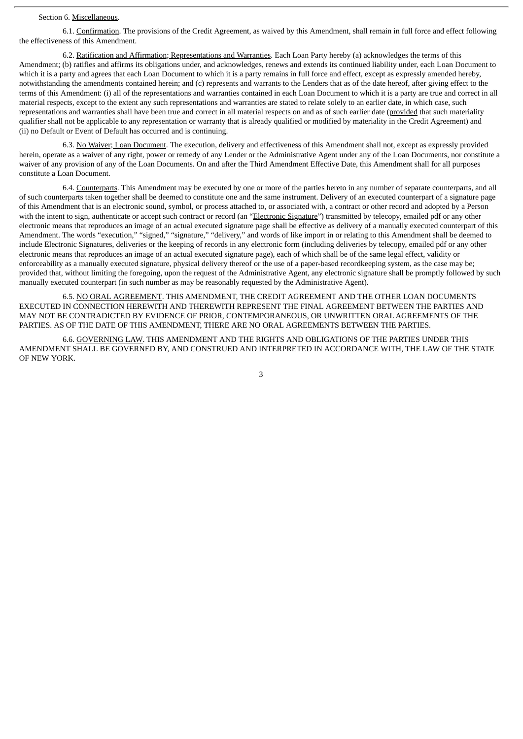### Section 6. Miscellaneous.

6.1. Confirmation. The provisions of the Credit Agreement, as waived by this Amendment, shall remain in full force and effect following the effectiveness of this Amendment.

6.2. Ratification and Affirmation; Representations and Warranties. Each Loan Party hereby (a) acknowledges the terms of this Amendment; (b) ratifies and affirms its obligations under, and acknowledges, renews and extends its continued liability under, each Loan Document to which it is a party and agrees that each Loan Document to which it is a party remains in full force and effect, except as expressly amended hereby, notwithstanding the amendments contained herein; and (c) represents and warrants to the Lenders that as of the date hereof, after giving effect to the terms of this Amendment: (i) all of the representations and warranties contained in each Loan Document to which it is a party are true and correct in all material respects, except to the extent any such representations and warranties are stated to relate solely to an earlier date, in which case, such representations and warranties shall have been true and correct in all material respects on and as of such earlier date (provided that such materiality qualifier shall not be applicable to any representation or warranty that is already qualified or modified by materiality in the Credit Agreement) and (ii) no Default or Event of Default has occurred and is continuing.

6.3. No Waiver; Loan Document. The execution, delivery and effectiveness of this Amendment shall not, except as expressly provided herein, operate as a waiver of any right, power or remedy of any Lender or the Administrative Agent under any of the Loan Documents, nor constitute a waiver of any provision of any of the Loan Documents. On and after the Third Amendment Effective Date, this Amendment shall for all purposes constitute a Loan Document.

6.4. Counterparts. This Amendment may be executed by one or more of the parties hereto in any number of separate counterparts, and all of such counterparts taken together shall be deemed to constitute one and the same instrument. Delivery of an executed counterpart of a signature page of this Amendment that is an electronic sound, symbol, or process attached to, or associated with, a contract or other record and adopted by a Person with the intent to sign, authenticate or accept such contract or record (an "Electronic Signature") transmitted by telecopy, emailed pdf or any other electronic means that reproduces an image of an actual executed signature page shall be effective as delivery of a manually executed counterpart of this Amendment. The words "execution," "signed," "signature," "delivery," and words of like import in or relating to this Amendment shall be deemed to include Electronic Signatures, deliveries or the keeping of records in any electronic form (including deliveries by telecopy, emailed pdf or any other electronic means that reproduces an image of an actual executed signature page), each of which shall be of the same legal effect, validity or enforceability as a manually executed signature, physical delivery thereof or the use of a paper-based recordkeeping system, as the case may be; provided that, without limiting the foregoing, upon the request of the Administrative Agent, any electronic signature shall be promptly followed by such manually executed counterpart (in such number as may be reasonably requested by the Administrative Agent).

6.5. NO ORAL AGREEMENT. THIS AMENDMENT, THE CREDIT AGREEMENT AND THE OTHER LOAN DOCUMENTS EXECUTED IN CONNECTION HEREWITH AND THEREWITH REPRESENT THE FINAL AGREEMENT BETWEEN THE PARTIES AND MAY NOT BE CONTRADICTED BY EVIDENCE OF PRIOR, CONTEMPORANEOUS, OR UNWRITTEN ORAL AGREEMENTS OF THE PARTIES. AS OF THE DATE OF THIS AMENDMENT, THERE ARE NO ORAL AGREEMENTS BETWEEN THE PARTIES.

6.6. GOVERNING LAW. THIS AMENDMENT AND THE RIGHTS AND OBLIGATIONS OF THE PARTIES UNDER THIS AMENDMENT SHALL BE GOVERNED BY, AND CONSTRUED AND INTERPRETED IN ACCORDANCE WITH, THE LAW OF THE STATE OF NEW YORK.

3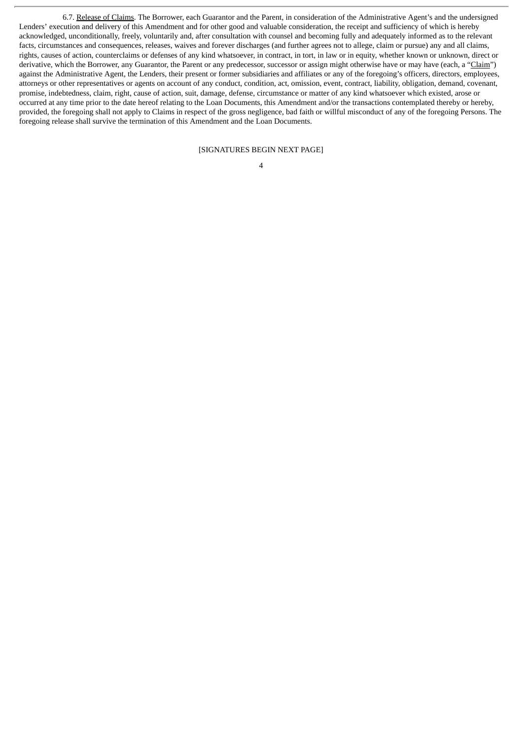6.7. Release of Claims. The Borrower, each Guarantor and the Parent, in consideration of the Administrative Agent's and the undersigned Lenders' execution and delivery of this Amendment and for other good and valuable consideration, the receipt and sufficiency of which is hereby acknowledged, unconditionally, freely, voluntarily and, after consultation with counsel and becoming fully and adequately informed as to the relevant facts, circumstances and consequences, releases, waives and forever discharges (and further agrees not to allege, claim or pursue) any and all claims, rights, causes of action, counterclaims or defenses of any kind whatsoever, in contract, in tort, in law or in equity, whether known or unknown, direct or derivative, which the Borrower, any Guarantor, the Parent or any predecessor, successor or assign might otherwise have or may have (each, a "Claim") against the Administrative Agent, the Lenders, their present or former subsidiaries and affiliates or any of the foregoing's officers, directors, employees, attorneys or other representatives or agents on account of any conduct, condition, act, omission, event, contract, liability, obligation, demand, covenant, promise, indebtedness, claim, right, cause of action, suit, damage, defense, circumstance or matter of any kind whatsoever which existed, arose or occurred at any time prior to the date hereof relating to the Loan Documents, this Amendment and/or the transactions contemplated thereby or hereby, provided, the foregoing shall not apply to Claims in respect of the gross negligence, bad faith or willful misconduct of any of the foregoing Persons. The foregoing release shall survive the termination of this Amendment and the Loan Documents.

[SIGNATURES BEGIN NEXT PAGE]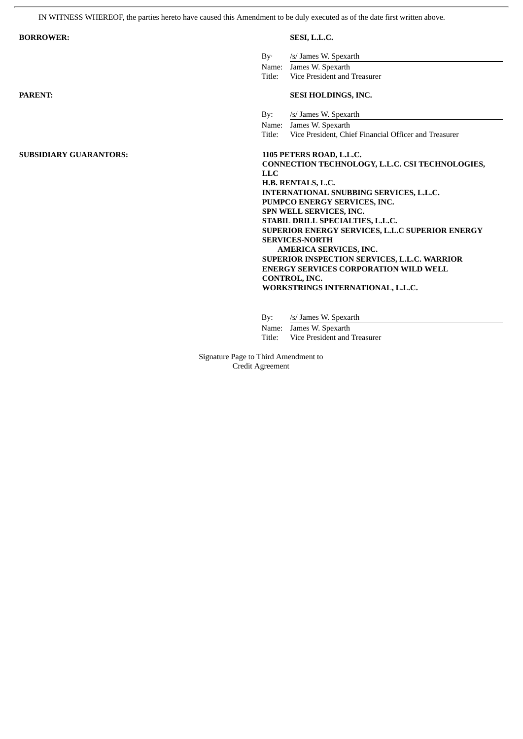IN WITNESS WHEREOF, the parties hereto have caused this Amendment to be duly executed as of the date first written above.

ł.

| <b>BORROWER:</b>              | SESI, L.L.C.                                                                                                                                                                                                                                                       |  |  |
|-------------------------------|--------------------------------------------------------------------------------------------------------------------------------------------------------------------------------------------------------------------------------------------------------------------|--|--|
| $\rm{By}$                     | /s/ James W. Spexarth<br>James W. Spexarth<br>Name:                                                                                                                                                                                                                |  |  |
|                               | Vice President and Treasurer<br>Title:                                                                                                                                                                                                                             |  |  |
| <b>PARENT:</b>                | <b>SESI HOLDINGS, INC.</b>                                                                                                                                                                                                                                         |  |  |
| By:                           | /s/ James W. Spexarth                                                                                                                                                                                                                                              |  |  |
|                               | Name: James W. Spexarth                                                                                                                                                                                                                                            |  |  |
|                               | Vice President, Chief Financial Officer and Treasurer<br>Title:                                                                                                                                                                                                    |  |  |
| <b>SUBSIDIARY GUARANTORS:</b> | 1105 PETERS ROAD, L.L.C.                                                                                                                                                                                                                                           |  |  |
|                               | CONNECTION TECHNOLOGY, L.L.C. CSI TECHNOLOGIES,                                                                                                                                                                                                                    |  |  |
|                               | LLC.                                                                                                                                                                                                                                                               |  |  |
|                               | H.B. RENTALS, L.C.<br>INTERNATIONAL SNUBBING SERVICES, L.L.C.<br>PUMPCO ENERGY SERVICES, INC.<br>SPN WELL SERVICES, INC.<br>STABIL DRILL SPECIALTIES, L.L.C.<br>SUPERIOR ENERGY SERVICES, L.L.C SUPERIOR ENERGY<br><b>SERVICES-NORTH</b><br>AMERICA SERVICES, INC. |  |  |
|                               |                                                                                                                                                                                                                                                                    |  |  |
|                               |                                                                                                                                                                                                                                                                    |  |  |
|                               |                                                                                                                                                                                                                                                                    |  |  |
|                               |                                                                                                                                                                                                                                                                    |  |  |
|                               |                                                                                                                                                                                                                                                                    |  |  |
|                               |                                                                                                                                                                                                                                                                    |  |  |
|                               |                                                                                                                                                                                                                                                                    |  |  |
|                               | SUPERIOR INSPECTION SERVICES, L.L.C. WARRIOR                                                                                                                                                                                                                       |  |  |
|                               | <b>ENERGY SERVICES CORPORATION WILD WELL</b>                                                                                                                                                                                                                       |  |  |
|                               | CONTROL, INC.                                                                                                                                                                                                                                                      |  |  |
|                               | WORKSTRINGS INTERNATIONAL, L.L.C.                                                                                                                                                                                                                                  |  |  |
|                               |                                                                                                                                                                                                                                                                    |  |  |

By: /s/ James W. Spexarth Name: James W. Spexarth

Title: Vice President and Treasurer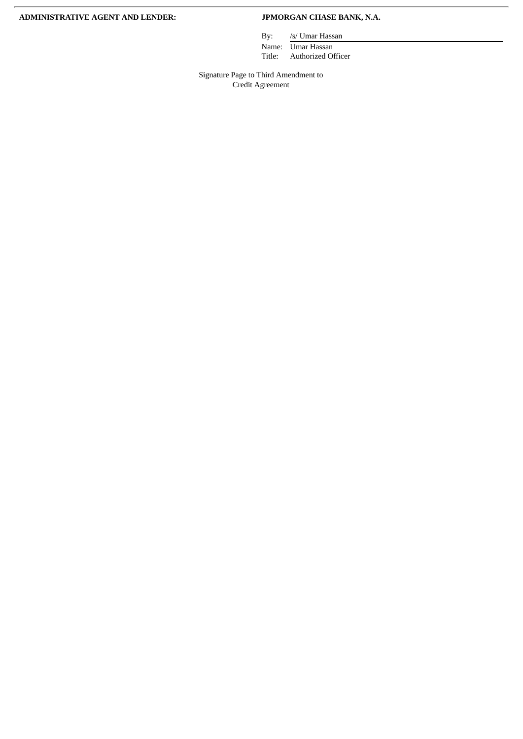### **ADMINISTRATIVE AGENT AND LENDER: JPMORGAN CHASE BANK, N.A.**

By: /s/ Umar Hassan

Name: Umar Hassan Title: Authorized Officer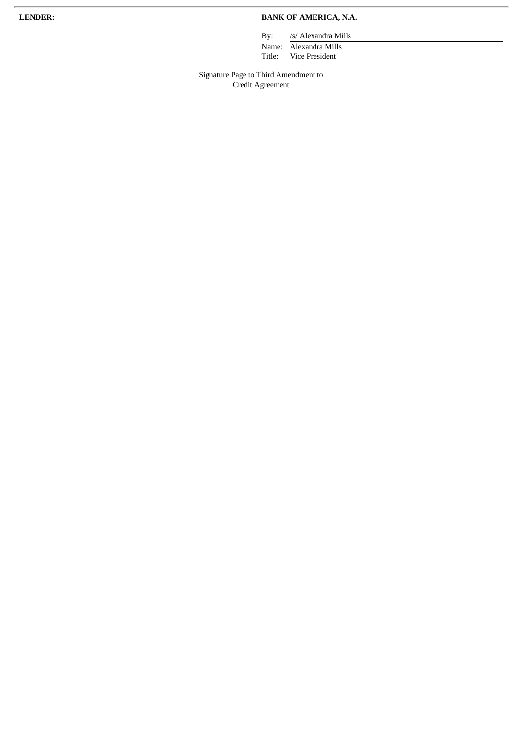### **LENDER: BANK OF AMERICA, N.A.**

By: /s/ Alexandra Mills

Name: Alexandra Mills Title: Vice President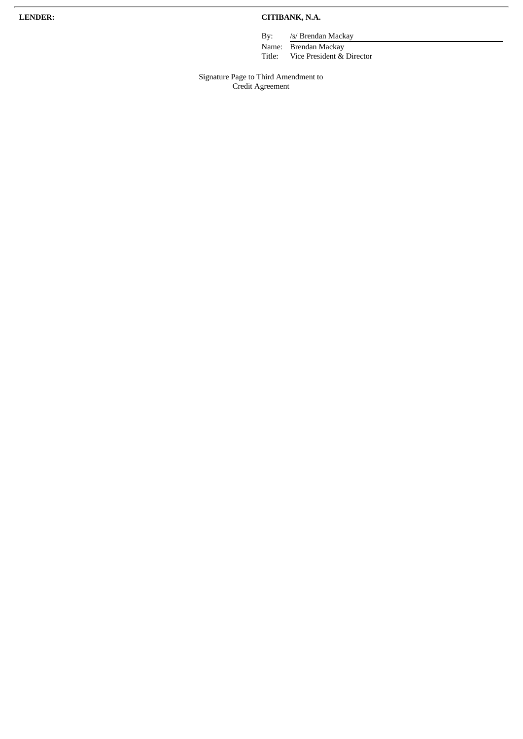### **LENDER: CITIBANK, N.A.**

By: /s/ Brendan Mackay

Name: Brendan Mackay Title: Vice President & Director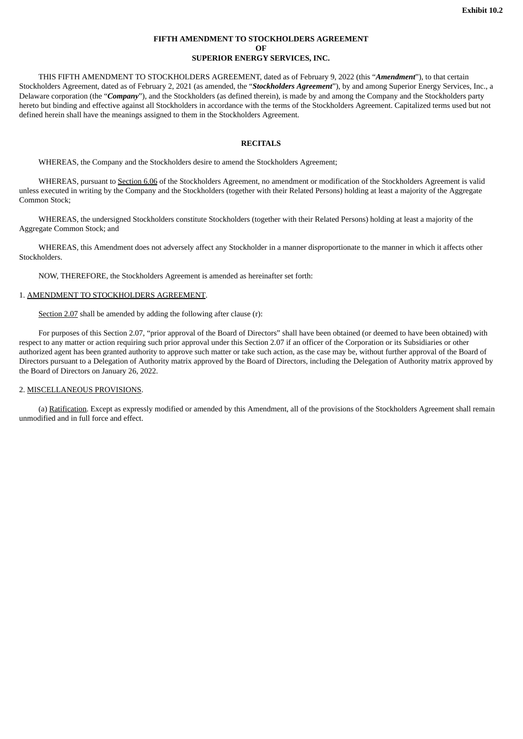### **FIFTH AMENDMENT TO STOCKHOLDERS AGREEMENT OF SUPERIOR ENERGY SERVICES, INC.**

<span id="page-11-0"></span>THIS FIFTH AMENDMENT TO STOCKHOLDERS AGREEMENT, dated as of February 9, 2022 (this "*Amendment*"), to that certain Stockholders Agreement, dated as of February 2, 2021 (as amended, the "*Stockholders Agreement*"), by and among Superior Energy Services, Inc., a Delaware corporation (the "*Company*"), and the Stockholders (as defined therein), is made by and among the Company and the Stockholders party hereto but binding and effective against all Stockholders in accordance with the terms of the Stockholders Agreement. Capitalized terms used but not defined herein shall have the meanings assigned to them in the Stockholders Agreement.

### **RECITALS**

WHEREAS, the Company and the Stockholders desire to amend the Stockholders Agreement;

WHEREAS, pursuant to Section 6.06 of the Stockholders Agreement, no amendment or modification of the Stockholders Agreement is valid unless executed in writing by the Company and the Stockholders (together with their Related Persons) holding at least a majority of the Aggregate Common Stock;

WHEREAS, the undersigned Stockholders constitute Stockholders (together with their Related Persons) holding at least a majority of the Aggregate Common Stock; and

WHEREAS, this Amendment does not adversely affect any Stockholder in a manner disproportionate to the manner in which it affects other Stockholders.

NOW, THEREFORE, the Stockholders Agreement is amended as hereinafter set forth:

### 1. AMENDMENT TO STOCKHOLDERS AGREEMENT.

Section 2.07 shall be amended by adding the following after clause (r):

For purposes of this Section 2.07, "prior approval of the Board of Directors" shall have been obtained (or deemed to have been obtained) with respect to any matter or action requiring such prior approval under this Section 2.07 if an officer of the Corporation or its Subsidiaries or other authorized agent has been granted authority to approve such matter or take such action, as the case may be, without further approval of the Board of Directors pursuant to a Delegation of Authority matrix approved by the Board of Directors, including the Delegation of Authority matrix approved by the Board of Directors on January 26, 2022.

### 2. MISCELLANEOUS PROVISIONS.

(a) Ratification. Except as expressly modified or amended by this Amendment, all of the provisions of the Stockholders Agreement shall remain unmodified and in full force and effect.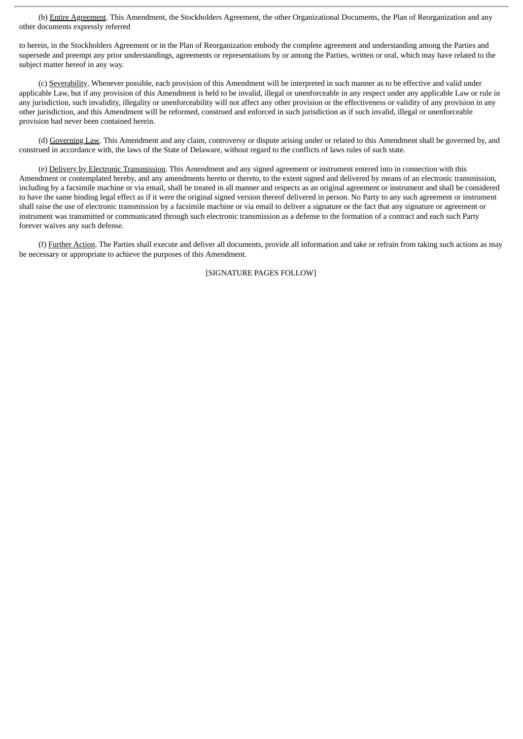(b) Entire Agreement. This Amendment, the Stockholders Agreement, the other Organizational Documents, the Plan of Reorganization and any other documents expressly referred

to herein, in the Stockholders Agreement or in the Plan of Reorganization embody the complete agreement and understanding among the Parties and supersede and preempt any prior understandings, agreements or representations by or among the Parties, written or oral, which may have related to the subject matter hereof in any way.

(c) Severability. Whenever possible, each provision of this Amendment will be interpreted in such manner as to be effective and valid under applicable Law, but if any provision of this Amendment is held to be invalid, illegal or unenforceable in any respect under any applicable Law or rule in any jurisdiction, such invalidity, illegality or unenforceability will not affect any other provision or the effectiveness or validity of any provision in any other jurisdiction, and this Amendment will be reformed, construed and enforced in such jurisdiction as if such invalid, illegal or unenforceable provision had never been contained herein.

(d) Governing Law. This Amendment and any claim, controversy or dispute arising under or related to this Amendment shall be governed by, and construed in accordance with, the laws of the State of Delaware, without regard to the conflicts of laws rules of such state.

(e) Delivery by Electronic Transmission. This Amendment and any signed agreement or instrument entered into in connection with this Amendment or contemplated hereby, and any amendments hereto or thereto, to the extent signed and delivered by means of an electronic transmission, including by a facsimile machine or via email, shall be treated in all manner and respects as an original agreement or instrument and shall be considered to have the same binding legal effect as if it were the original signed version thereof delivered in person. No Party to any such agreement or instrument shall raise the use of electronic transmission by a facsimile machine or via email to deliver a signature or the fact that any signature or agreement or instrument was transmitted or communicated through such electronic transmission as a defense to the formation of a contract and each such Party forever waives any such defense.

(f) Further Action. The Parties shall execute and deliver all documents, provide all information and take or refrain from taking such actions as may be necessary or appropriate to achieve the purposes of this Amendment.

[SIGNATURE PAGES FOLLOW]